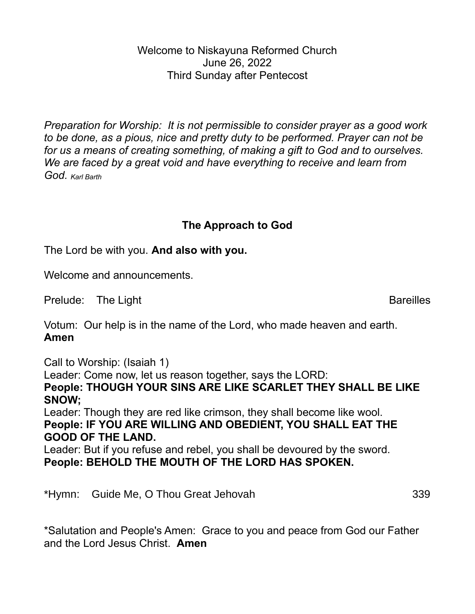Welcome to Niskayuna Reformed Church June 26, 2022 Third Sunday after Pentecost

*Preparation for Worship: It is not permissible to consider prayer as a good work to be done, as a pious, nice and pretty duty to be performed. Prayer can not be for us a means of creating something, of making a gift to God and to ourselves. We are faced by a great void and have everything to receive and learn from God. Karl Barth*

## **The Approach to God**

The Lord be with you. **And also with you.**

Welcome and announcements.

Prelude: The Light Bareilles

Votum: Our help is in the name of the Lord, who made heaven and earth. **Amen**

Call to Worship: (Isaiah 1)

Leader: Come now, let us reason together, says the LORD:

**People: THOUGH YOUR SINS ARE LIKE SCARLET THEY SHALL BE LIKE SNOW;**

Leader: Though they are red like crimson, they shall become like wool. **People: IF YOU ARE WILLING AND OBEDIENT, YOU SHALL EAT THE GOOD OF THE LAND.**

Leader: But if you refuse and rebel, you shall be devoured by the sword. **People: BEHOLD THE MOUTH OF THE LORD HAS SPOKEN.**

\*Hymn: Guide Me, O Thou Great Jehovah 339

\*Salutation and People's Amen: Grace to you and peace from God our Father and the Lord Jesus Christ. **Amen**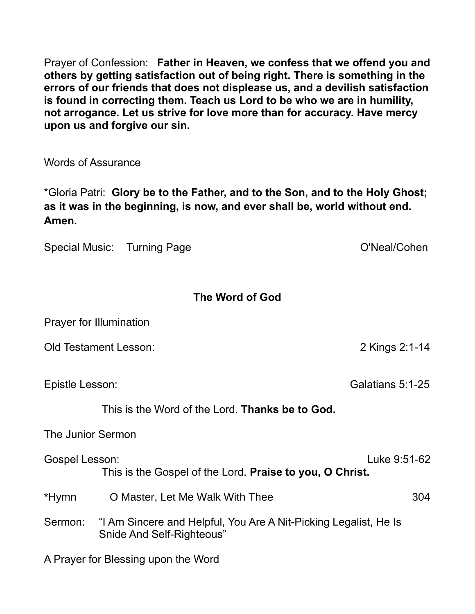Prayer of Confession: **Father in Heaven, we confess that we offend you and others by getting satisfaction out of being right. There is something in the errors of our friends that does not displease us, and a devilish satisfaction is found in correcting them. Teach us Lord to be who we are in humility, not arrogance. Let us strive for love more than for accuracy. Have mercy upon us and forgive our sin.**

Words of Assurance

\*Gloria Patri: **Glory be to the Father, and to the Son, and to the Holy Ghost; as it was in the beginning, is now, and ever shall be, world without end. Amen.**

Special Music: Turning Page **O'Neal/Cohen** 

## **The Word of God**

|                                                                                   | <b>Prayer for Illumination</b>                                                                |                  |
|-----------------------------------------------------------------------------------|-----------------------------------------------------------------------------------------------|------------------|
|                                                                                   | <b>Old Testament Lesson:</b>                                                                  | 2 Kings 2:1-14   |
| Epistle Lesson:                                                                   |                                                                                               | Galatians 5:1-25 |
|                                                                                   | This is the Word of the Lord. <b>Thanks be to God.</b>                                        |                  |
| The Junior Sermon                                                                 |                                                                                               |                  |
| <b>Gospel Lesson:</b><br>This is the Gospel of the Lord. Praise to you, O Christ. |                                                                                               | Luke 9:51-62     |
| *Hymn                                                                             | O Master, Let Me Walk With Thee                                                               | 304              |
| Sermon:                                                                           | "I Am Sincere and Helpful, You Are A Nit-Picking Legalist, He Is<br>Snide And Self-Righteous" |                  |
|                                                                                   | $\Lambda$ Desires fan Dlaasje en in as tlaa $\Lambda$                                         |                  |

A Prayer for Blessing upon the Word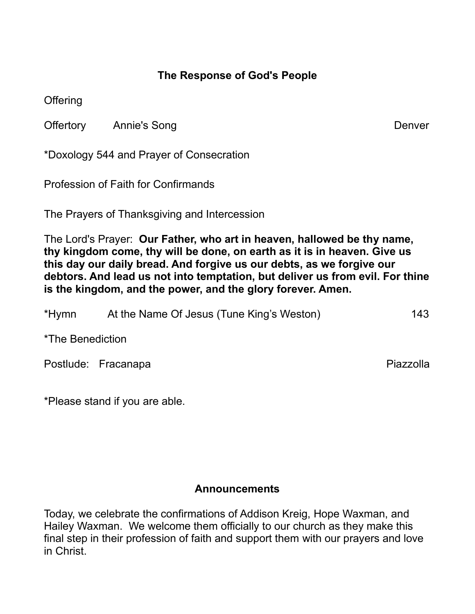## **The Response of God's People**

**Offering** 

Offertory Annie's Song **Denvertory** Annie's Song

\*Doxology 544 and Prayer of Consecration

Profession of Faith for Confirmands

The Prayers of Thanksgiving and Intercession

The Lord's Prayer: **Our Father, who art in heaven, hallowed be thy name, thy kingdom come, thy will be done, on earth as it is in heaven. Give us this day our daily bread. And forgive us our debts, as we forgive our debtors. And lead us not into temptation, but deliver us from evil. For thine is the kingdom, and the power, and the glory forever. Amen.**

| *Hymn            | At the Name Of Jesus (Tune King's Weston) | 143       |
|------------------|-------------------------------------------|-----------|
| *The Benediction |                                           |           |
|                  | Postlude: Fracanapa                       | Piazzolla |

\*Please stand if you are able.

## **Announcements**

Today, we celebrate the confirmations of Addison Kreig, Hope Waxman, and Hailey Waxman. We welcome them officially to our church as they make this final step in their profession of faith and support them with our prayers and love in Christ.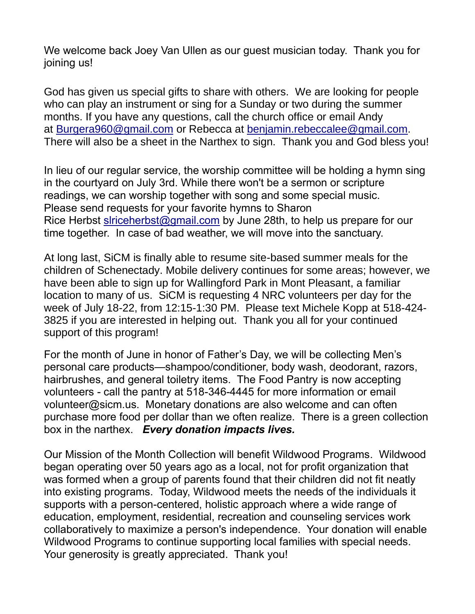We welcome back Joey Van Ullen as our guest musician today. Thank you for joining us!

God has given us special gifts to share with others. We are looking for people who can play an instrument or sing for a Sunday or two during the summer months. If you have any questions, call the church office or email Andy at [Burgera960@gmail.com](mailto:Burgera960@gmail.com) or Rebecca at [benjamin.rebeccalee@gmail.com.](mailto:benjamin.rebeccalee@gmail.com) There will also be a sheet in the Narthex to sign. Thank you and God bless you!

In lieu of our regular service, the worship committee will be holding a hymn sing in the courtyard on July 3rd. While there won't be a sermon or scripture readings, we can worship together with song and some special music. Please send requests for your favorite hymns to Sharon Rice Herbst [slriceherbst@gmail.com](mailto:slriceherbst@gmail.com) by June 28th, to help us prepare for our time together. In case of bad weather, we will move into the sanctuary.

At long last, SiCM is finally able to resume site-based summer meals for the children of Schenectady. Mobile delivery continues for some areas; however, we have been able to sign up for Wallingford Park in Mont Pleasant, a familiar location to many of us. SiCM is requesting 4 NRC volunteers per day for the week of July 18-22, from 12:15-1:30 PM. Please text Michele Kopp at 518-424- 3825 if you are interested in helping out. Thank you all for your continued support of this program!

For the month of June in honor of Father's Day, we will be collecting Men's personal care products—shampoo/conditioner, body wash, deodorant, razors, hairbrushes, and general toiletry items. The Food Pantry is now accepting volunteers - call the pantry at 518-346-4445 for more information or email volunteer@sicm.us. Monetary donations are also welcome and can often purchase more food per dollar than we often realize. There is a green collection box in the narthex. *Every donation impacts lives.*

Our Mission of the Month Collection will benefit Wildwood Programs. Wildwood began operating over 50 years ago as a local, not for profit organization that was formed when a group of parents found that their children did not fit neatly into existing programs. Today, Wildwood meets the needs of the individuals it supports with a person-centered, holistic approach where a wide range of education, employment, residential, recreation and counseling services work collaboratively to maximize a person's independence. Your donation will enable Wildwood Programs to continue supporting local families with special needs. Your generosity is greatly appreciated. Thank you!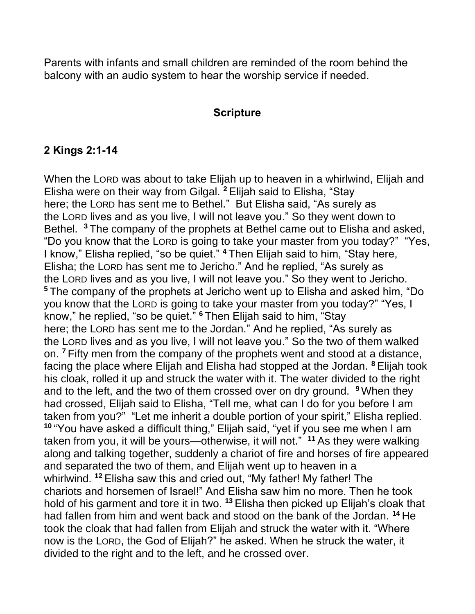Parents with infants and small children are reminded of the room behind the balcony with an audio system to hear the worship service if needed.

#### **Scripture**

### **2 Kings 2:1-14**

When the LORD was about to take Elijah up to heaven in a whirlwind, Elijah and Elisha were on their way from Gilgal. **<sup>2</sup>** Elijah said to Elisha, "Stay here; the LORD has sent me to Bethel." But Elisha said, "As surely as the LORD lives and as you live, I will not leave you." So they went down to Bethel. **<sup>3</sup>** The company of the prophets at Bethel came out to Elisha and asked, "Do you know that the LORD is going to take your master from you today?" "Yes, I know," Elisha replied, "so be quiet." **<sup>4</sup>** Then Elijah said to him, "Stay here, Elisha; the LORD has sent me to Jericho." And he replied, "As surely as the LORD lives and as you live, I will not leave you." So they went to Jericho. **<sup>5</sup>** The company of the prophets at Jericho went up to Elisha and asked him, "Do you know that the LORD is going to take your master from you today?" "Yes, I know," he replied, "so be quiet." **<sup>6</sup>** Then Elijah said to him, "Stay here; the LORD has sent me to the Jordan." And he replied, "As surely as the LORD lives and as you live, I will not leave you." So the two of them walked on. **<sup>7</sup>** Fifty men from the company of the prophets went and stood at a distance, facing the place where Elijah and Elisha had stopped at the Jordan. **<sup>8</sup>** Elijah took his cloak, rolled it up and struck the water with it. The water divided to the right and to the left, and the two of them crossed over on dry ground. **<sup>9</sup>** When they had crossed, Elijah said to Elisha, "Tell me, what can I do for you before I am taken from you?" "Let me inherit a double portion of your spirit," Elisha replied. **<sup>10</sup>** "You have asked a difficult thing," Elijah said, "yet if you see me when I am taken from you, it will be yours—otherwise, it will not." **<sup>11</sup>** As they were walking along and talking together, suddenly a chariot of fire and horses of fire appeared and separated the two of them, and Elijah went up to heaven in a whirlwind. **<sup>12</sup>** Elisha saw this and cried out, "My father! My father! The chariots and horsemen of Israel!" And Elisha saw him no more. Then he took hold of his garment and tore it in two. <sup>13</sup> Elisha then picked up Elijah's cloak that had fallen from him and went back and stood on the bank of the Jordan. **<sup>14</sup>** He took the cloak that had fallen from Elijah and struck the water with it. "Where now is the LORD, the God of Elijah?" he asked. When he struck the water, it divided to the right and to the left, and he crossed over.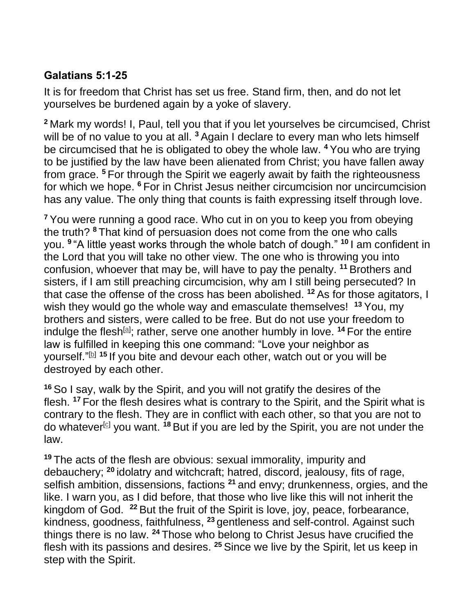# **Galatians 5:1-25**

It is for freedom that Christ has set us free. Stand firm, then, and do not let yourselves be burdened again by a yoke of slavery.

**<sup>2</sup>** Mark my words! I, Paul, tell you that if you let yourselves be circumcised, Christ will be of no value to you at all. <sup>3</sup> Again I declare to every man who lets himself be circumcised that he is obligated to obey the whole law. **<sup>4</sup>** You who are trying to be justified by the law have been alienated from Christ; you have fallen away from grace. **<sup>5</sup>** For through the Spirit we eagerly await by faith the righteousness for which we hope. **<sup>6</sup>** For in Christ Jesus neither circumcision nor uncircumcision has any value. The only thing that counts is faith expressing itself through love.

**<sup>7</sup>** You were running a good race. Who cut in on you to keep you from obeying the truth? **<sup>8</sup>** That kind of persuasion does not come from the one who calls you. **9** "A little yeast works through the whole batch of dough." **<sup>10</sup>** I am confident in the Lord that you will take no other view. The one who is throwing you into confusion, whoever that may be, will have to pay the penalty. **<sup>11</sup>** Brothers and sisters, if I am still preaching circumcision, why am I still being persecuted? In that case the offense of the cross has been abolished. **<sup>12</sup>** As for those agitators, I wish they would go the whole way and emasculate themselves! **<sup>13</sup>** You, my brothers and sisters, were called to be free. But do not use your freedom to indulge the flesh<sup>[a]</sup>; rather, serve one another humbly in love. <sup>14</sup> For the entire law is fulfilled in keeping this one command: "Love your neighbor as yourself." [b] **<sup>15</sup>** If you bite and devour each other, watch out or you will be destroyed by each other.

**<sup>16</sup>** So I say, walk by the Spirit, and you will not gratify the desires of the flesh. **<sup>17</sup>** For the flesh desires what is contrary to the Spirit, and the Spirit what is contrary to the flesh. They are in conflict with each other, so that you are not to do whatever<sup>[c]</sup> you want. <sup>18</sup> But if you are led by the Spirit, you are not under the law.

**<sup>19</sup>** The acts of the flesh are obvious: sexual immorality, impurity and debauchery; **<sup>20</sup>** idolatry and witchcraft; hatred, discord, jealousy, fits of rage, selfish ambition, dissensions, factions **<sup>21</sup>** and envy; drunkenness, orgies, and the like. I warn you, as I did before, that those who live like this will not inherit the kingdom of God. **<sup>22</sup>** But the fruit of the Spirit is love, joy, peace, forbearance, kindness, goodness, faithfulness, **<sup>23</sup>** gentleness and self-control. Against such things there is no law. **<sup>24</sup>** Those who belong to Christ Jesus have crucified the flesh with its passions and desires. **<sup>25</sup>** Since we live by the Spirit, let us keep in step with the Spirit.